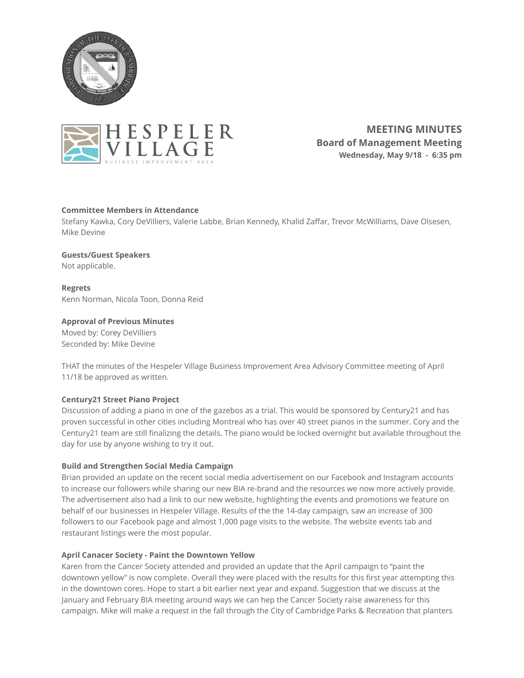



**MEETING MINUTES Board of Management Meeting Wednesday, May 9/18 - 6:35 pm** 

# **Committee Members in Attendance**

Stefany Kawka, Cory DeVilliers, Valerie Labbe, Brian Kennedy, Khalid Zaffar, Trevor McWilliams, Dave Olsesen, Mike Devine

# **Guests/Guest Speakers**

Not applicable.

**Regrets**  Kenn Norman, Nicola Toon, Donna Reid

# **Approval of Previous Minutes**

Moved by: Corey DeVilliers Seconded by: Mike Devine

THAT the minutes of the Hespeler Village Business Improvement Area Advisory Committee meeting of April 11/18 be approved as written.

### **Century21 Street Piano Project**

Discussion of adding a piano in one of the gazebos as a trial. This would be sponsored by Century21 and has proven successful in other cities including Montreal who has over 40 street pianos in the summer. Cory and the Century21 team are still finalizing the details. The piano would be locked overnight but available throughout the day for use by anyone wishing to try it out.

### **Build and Strengthen Social Media Campaign**

Brian provided an update on the recent social media advertisement on our Facebook and Instagram accounts to increase our followers while sharing our new BIA re-brand and the resources we now more actively provide. The advertisement also had a link to our new website, highlighting the events and promotions we feature on behalf of our businesses in Hespeler Village. Results of the the 14-day campaign, saw an increase of 300 followers to our Facebook page and almost 1,000 page visits to the website. The website events tab and restaurant listings were the most popular.

### **April Canacer Society - Paint the Downtown Yellow**

Karen from the Cancer Society attended and provided an update that the April campaign to "paint the downtown yellow" is now complete. Overall they were placed with the results for this first year attempting this in the downtown cores. Hope to start a bit earlier next year and expand. Suggestion that we discuss at the January and February BIA meeting around ways we can hep the Cancer Society raise awareness for this campaign. Mike will make a request in the fall through the City of Cambridge Parks & Recreation that planters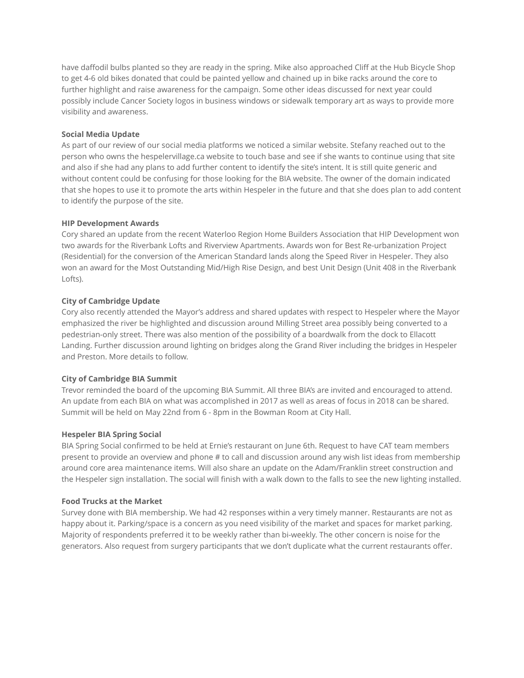have daffodil bulbs planted so they are ready in the spring. Mike also approached Cliff at the Hub Bicycle Shop to get 4-6 old bikes donated that could be painted yellow and chained up in bike racks around the core to further highlight and raise awareness for the campaign. Some other ideas discussed for next year could possibly include Cancer Society logos in business windows or sidewalk temporary art as ways to provide more visibility and awareness.

### **Social Media Update**

As part of our review of our social media platforms we noticed a similar website. Stefany reached out to the person who owns the hespelervillage.ca website to touch base and see if she wants to continue using that site and also if she had any plans to add further content to identify the site's intent. It is still quite generic and without content could be confusing for those looking for the BIA website. The owner of the domain indicated that she hopes to use it to promote the arts within Hespeler in the future and that she does plan to add content to identify the purpose of the site.

# **HIP Development Awards**

Cory shared an update from the recent Waterloo Region Home Builders Association that HIP Development won two awards for the Riverbank Lofts and Riverview Apartments. Awards won for Best Re-urbanization Project (Residential) for the conversion of the American Standard lands along the Speed River in Hespeler. They also won an award for the Most Outstanding Mid/High Rise Design, and best Unit Design (Unit 408 in the Riverbank Lofts).

# **City of Cambridge Update**

Cory also recently attended the Mayor's address and shared updates with respect to Hespeler where the Mayor emphasized the river be highlighted and discussion around Milling Street area possibly being converted to a pedestrian-only street. There was also mention of the possibility of a boardwalk from the dock to Ellacott Landing. Further discussion around lighting on bridges along the Grand River including the bridges in Hespeler and Preston. More details to follow.

# **City of Cambridge BIA Summit**

Trevor reminded the board of the upcoming BIA Summit. All three BIA's are invited and encouraged to attend. An update from each BIA on what was accomplished in 2017 as well as areas of focus in 2018 can be shared. Summit will be held on May 22nd from 6 - 8pm in the Bowman Room at City Hall.

### **Hespeler BIA Spring Social**

BIA Spring Social confirmed to be held at Ernie's restaurant on June 6th. Request to have CAT team members present to provide an overview and phone # to call and discussion around any wish list ideas from membership around core area maintenance items. Will also share an update on the Adam/Franklin street construction and the Hespeler sign installation. The social will finish with a walk down to the falls to see the new lighting installed.

### **Food Trucks at the Market**

Survey done with BIA membership. We had 42 responses within a very timely manner. Restaurants are not as happy about it. Parking/space is a concern as you need visibility of the market and spaces for market parking. Majority of respondents preferred it to be weekly rather than bi-weekly. The other concern is noise for the generators. Also request from surgery participants that we don't duplicate what the current restaurants offer.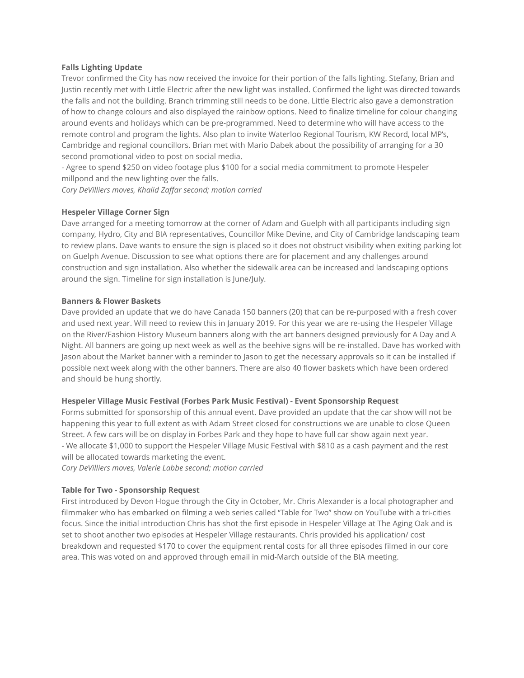#### **Falls Lighting Update**

Trevor confirmed the City has now received the invoice for their portion of the falls lighting. Stefany, Brian and Justin recently met with Little Electric after the new light was installed. Confirmed the light was directed towards the falls and not the building. Branch trimming still needs to be done. Little Electric also gave a demonstration of how to change colours and also displayed the rainbow options. Need to finalize timeline for colour changing around events and holidays which can be pre-programmed. Need to determine who will have access to the remote control and program the lights. Also plan to invite Waterloo Regional Tourism, KW Record, local MP's, Cambridge and regional councillors. Brian met with Mario Dabek about the possibility of arranging for a 30 second promotional video to post on social media.

- Agree to spend \$250 on video footage plus \$100 for a social media commitment to promote Hespeler millpond and the new lighting over the falls.

*Cory DeVilliers moves, Khalid Zaffar second; motion carried* 

#### **Hespeler Village Corner Sign**

Dave arranged for a meeting tomorrow at the corner of Adam and Guelph with all participants including sign company, Hydro, City and BIA representatives, Councillor Mike Devine, and City of Cambridge landscaping team to review plans. Dave wants to ensure the sign is placed so it does not obstruct visibility when exiting parking lot on Guelph Avenue. Discussion to see what options there are for placement and any challenges around construction and sign installation. Also whether the sidewalk area can be increased and landscaping options around the sign. Timeline for sign installation is June/July.

#### **Banners & Flower Baskets**

Dave provided an update that we do have Canada 150 banners (20) that can be re-purposed with a fresh cover and used next year. Will need to review this in January 2019. For this year we are re-using the Hespeler Village on the River/Fashion History Museum banners along with the art banners designed previously for A Day and A Night. All banners are going up next week as well as the beehive signs will be re-installed. Dave has worked with Jason about the Market banner with a reminder to Jason to get the necessary approvals so it can be installed if possible next week along with the other banners. There are also 40 flower baskets which have been ordered and should be hung shortly.

### **Hespeler Village Music Festival (Forbes Park Music Festival) - Event Sponsorship Request**

Forms submitted for sponsorship of this annual event. Dave provided an update that the car show will not be happening this year to full extent as with Adam Street closed for constructions we are unable to close Queen Street. A few cars will be on display in Forbes Park and they hope to have full car show again next year. - We allocate \$1,000 to support the Hespeler Village Music Festival with \$810 as a cash payment and the rest will be allocated towards marketing the event.

*Cory DeVilliers moves, Valerie Labbe second; motion carried* 

#### **Table for Two - Sponsorship Request**

First introduced by Devon Hogue through the City in October, Mr. Chris Alexander is a local photographer and filmmaker who has embarked on filming a web series called "Table for Two" show on YouTube with a tri-cities focus. Since the initial introduction Chris has shot the first episode in Hespeler Village at The Aging Oak and is set to shoot another two episodes at Hespeler Village restaurants. Chris provided his application/ cost breakdown and requested \$170 to cover the equipment rental costs for all three episodes filmed in our core area. This was voted on and approved through email in mid-March outside of the BIA meeting.